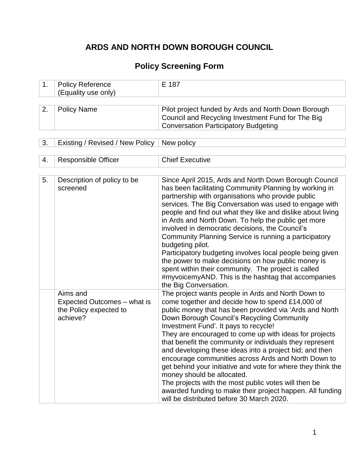# **ARDS AND NORTH DOWN BOROUGH COUNCIL**

# **Policy Screening Form**

| 1. | <b>Policy Reference</b><br>(Equality use only)                                | E 187                                                                                                                                                                                                                                                                                                                                                                                                                                                                                                                                                                                                                                                                                                                                                            |
|----|-------------------------------------------------------------------------------|------------------------------------------------------------------------------------------------------------------------------------------------------------------------------------------------------------------------------------------------------------------------------------------------------------------------------------------------------------------------------------------------------------------------------------------------------------------------------------------------------------------------------------------------------------------------------------------------------------------------------------------------------------------------------------------------------------------------------------------------------------------|
|    |                                                                               |                                                                                                                                                                                                                                                                                                                                                                                                                                                                                                                                                                                                                                                                                                                                                                  |
| 2. | <b>Policy Name</b>                                                            | Pilot project funded by Ards and North Down Borough<br>Council and Recycling Investment Fund for The Big<br><b>Conversation Participatory Budgeting</b>                                                                                                                                                                                                                                                                                                                                                                                                                                                                                                                                                                                                          |
| 3. | Existing / Revised / New Policy                                               | New policy                                                                                                                                                                                                                                                                                                                                                                                                                                                                                                                                                                                                                                                                                                                                                       |
|    |                                                                               |                                                                                                                                                                                                                                                                                                                                                                                                                                                                                                                                                                                                                                                                                                                                                                  |
| 4. | <b>Responsible Officer</b>                                                    | <b>Chief Executive</b>                                                                                                                                                                                                                                                                                                                                                                                                                                                                                                                                                                                                                                                                                                                                           |
| 5. | Description of policy to be<br>screened                                       | Since April 2015, Ards and North Down Borough Council<br>has been facilitating Community Planning by working in<br>partnership with organisations who provide public<br>services. The Big Conversation was used to engage with<br>people and find out what they like and dislike about living<br>in Ards and North Down. To help the public get more<br>involved in democratic decisions, the Council's<br>Community Planning Service is running a participatory<br>budgeting pilot.<br>Participatory budgeting involves local people being given<br>the power to make decisions on how public money is<br>spent within their community. The project is called<br>#myvoicemyAND. This is the hashtag that accompanies<br>the Big Conversation.                   |
|    | Aims and<br>Expected Outcomes - what is<br>the Policy expected to<br>achieve? | The project wants people in Ards and North Down to<br>come together and decide how to spend £14,000 of<br>public money that has been provided via 'Ards and North<br>Down Borough Council's Recycling Community<br>Investment Fund'. It pays to recycle!<br>They are encouraged to come up with ideas for projects<br>that benefit the community or individuals they represent<br>and developing these ideas into a project bid; and then<br>encourage communities across Ards and North Down to<br>get behind your initiative and vote for where they think the<br>money should be allocated.<br>The projects with the most public votes will then be<br>awarded funding to make their project happen. All funding<br>will be distributed before 30 March 2020. |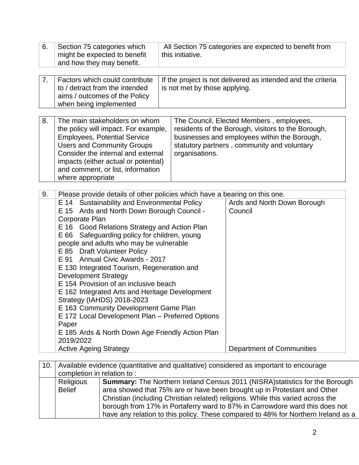| 6.                                                                                                                                                                                                                                                                                                                                                                                                                                                                                                                                                                                                                                                                                                                                                                                                   | Section 75 categories which<br>might be expected to benefit<br>and how they may benefit.                                                                                                                                                                                                  |                | this initiative.                                                                                                                                                                              | All Section 75 categories are expected to benefit from                     |
|------------------------------------------------------------------------------------------------------------------------------------------------------------------------------------------------------------------------------------------------------------------------------------------------------------------------------------------------------------------------------------------------------------------------------------------------------------------------------------------------------------------------------------------------------------------------------------------------------------------------------------------------------------------------------------------------------------------------------------------------------------------------------------------------------|-------------------------------------------------------------------------------------------------------------------------------------------------------------------------------------------------------------------------------------------------------------------------------------------|----------------|-----------------------------------------------------------------------------------------------------------------------------------------------------------------------------------------------|----------------------------------------------------------------------------|
| 7.                                                                                                                                                                                                                                                                                                                                                                                                                                                                                                                                                                                                                                                                                                                                                                                                   | Factors which could contribute<br>to / detract from the intended<br>aims / outcomes of the Policy<br>when being implemented                                                                                                                                                               |                | is not met by those applying.                                                                                                                                                                 | If the project is not delivered as intended and the criteria               |
| 8.                                                                                                                                                                                                                                                                                                                                                                                                                                                                                                                                                                                                                                                                                                                                                                                                   | The main stakeholders on whom<br>the policy will impact. For example,<br><b>Employees, Potential Service</b><br><b>Users and Community Groups</b><br>Consider the internal and external<br>impacts (either actual or potential)<br>and comment, or list, information<br>where appropriate | organisations. | The Council, Elected Members, employees,<br>residents of the Borough, visitors to the Borough,<br>businesses and employees within the Borough,<br>statutory partners, community and voluntary |                                                                            |
| 9.<br>Please provide details of other policies which have a bearing on this one.<br>E 14 Sustainability and Environmental Policy<br>E 15 Ards and North Down Borough Council -<br>Corporate Plan<br>E 16 Good Relations Strategy and Action Plan<br>E 66 Safeguarding policy for children, young<br>people and adults who may be vulnerable<br>E 85 Draft Volunteer Policy<br><b>Annual Civic Awards - 2017</b><br>E 91<br>E 130 Integrated Tourism, Regeneration and<br><b>Development Strategy</b><br>E 154 Provision of an inclusive beach<br>E 162 Integrated Arts and Heritage Development<br>Strategy (IAHDS) 2018-2023<br>E 163 Community Development Game Plan<br>E 172 Local Development Plan - Preferred Options<br>Paper<br>E 185 Ards & North Down Age Friendly Action Plan<br>2019/2022 |                                                                                                                                                                                                                                                                                           |                |                                                                                                                                                                                               | Ards and North Down Borough<br>Council<br><b>Department of Communities</b> |
|                                                                                                                                                                                                                                                                                                                                                                                                                                                                                                                                                                                                                                                                                                                                                                                                      | <b>Active Ageing Strategy</b>                                                                                                                                                                                                                                                             |                |                                                                                                                                                                                               |                                                                            |
| 10                                                                                                                                                                                                                                                                                                                                                                                                                                                                                                                                                                                                                                                                                                                                                                                                   | encruppe of trathormi ze benebiznon (evitetileup has evitetitasup) engebiya eldelisy                                                                                                                                                                                                      |                |                                                                                                                                                                                               |                                                                            |

|  |                                                                                           | 10. Available evidence (quantitative and qualitative) considered as important to encourage |  |  |  |  |  |  |
|--|-------------------------------------------------------------------------------------------|--------------------------------------------------------------------------------------------|--|--|--|--|--|--|
|  | completion in relation to:                                                                |                                                                                            |  |  |  |  |  |  |
|  | Religious                                                                                 | <b>Summary:</b> The Northern Ireland Census 2011 (NISRA) statistics for the Borough        |  |  |  |  |  |  |
|  | area showed that 75% are or have been brought up in Protestant and Other<br><b>Belief</b> |                                                                                            |  |  |  |  |  |  |
|  |                                                                                           | Christian (including Christian related) religions. While this varied across the            |  |  |  |  |  |  |
|  |                                                                                           | borough from 17% in Portaferry ward to 87% in Carrowdore ward this does not                |  |  |  |  |  |  |
|  |                                                                                           | have any relation to this policy. These compared to 48% for Northern Ireland as a          |  |  |  |  |  |  |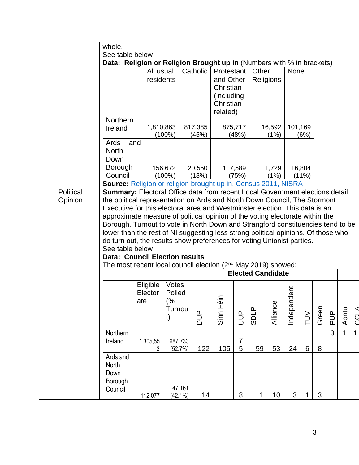|           | whole.                                                                            |               |            |                  |            |                  |                          |                |         |        |       |               |             |             |
|-----------|-----------------------------------------------------------------------------------|---------------|------------|------------------|------------|------------------|--------------------------|----------------|---------|--------|-------|---------------|-------------|-------------|
|           | See table below                                                                   |               |            |                  |            |                  |                          |                |         |        |       |               |             |             |
|           | Data: Religion or Religion Brought up in (Numbers with % in brackets)             |               |            |                  |            |                  |                          |                |         |        |       |               |             |             |
|           |                                                                                   | All usual     |            | Catholic         | Protestant |                  | Other                    |                | None    |        |       |               |             |             |
|           |                                                                                   | residents     |            |                  | and Other  |                  | Religions                |                |         |        |       |               |             |             |
|           |                                                                                   |               |            |                  | Christian  |                  |                          |                |         |        |       |               |             |             |
|           |                                                                                   |               |            |                  | (including |                  |                          |                |         |        |       |               |             |             |
|           |                                                                                   |               |            |                  | Christian  |                  |                          |                |         |        |       |               |             |             |
|           |                                                                                   |               |            |                  | related)   |                  |                          |                |         |        |       |               |             |             |
|           | Northern                                                                          |               |            |                  |            |                  |                          |                |         |        |       |               |             |             |
|           | Ireland                                                                           | 1,810,863     | $(100\%)$  | 817,385<br>(45%) |            | 875,717<br>(48%) |                          | 16,592<br>(1%) | 101,169 | (6%)   |       |               |             |             |
|           | Ards<br>and                                                                       |               |            |                  |            |                  |                          |                |         |        |       |               |             |             |
|           | <b>North</b>                                                                      |               |            |                  |            |                  |                          |                |         |        |       |               |             |             |
|           | Down                                                                              |               |            |                  |            |                  |                          |                |         |        |       |               |             |             |
|           | Borough                                                                           |               | 156,672    | 20,550           |            | 117,589          |                          | 1,729          |         | 16,804 |       |               |             |             |
|           | Council                                                                           |               | $(100\%)$  | (13%)            |            | (75%)            |                          | (1%)           |         | (11%)  |       |               |             |             |
|           | Source: Religion or religion brought up in. Census 2011, NISRA                    |               |            |                  |            |                  |                          |                |         |        |       |               |             |             |
| Political | Summary: Electoral Office data from recent Local Government elections detail      |               |            |                  |            |                  |                          |                |         |        |       |               |             |             |
| Opinion   | the political representation on Ards and North Down Council, The Stormont         |               |            |                  |            |                  |                          |                |         |        |       |               |             |             |
|           | Executive for this electoral area and Westminster election. This data is an       |               |            |                  |            |                  |                          |                |         |        |       |               |             |             |
|           | approximate measure of political opinion of the voting electorate within the      |               |            |                  |            |                  |                          |                |         |        |       |               |             |             |
|           | Borough. Turnout to vote in North Down and Strangford constituencies tend to be   |               |            |                  |            |                  |                          |                |         |        |       |               |             |             |
|           | lower than the rest of NI suggesting less strong political opinions. Of those who |               |            |                  |            |                  |                          |                |         |        |       |               |             |             |
|           | do turn out, the results show preferences for voting Unionist parties.            |               |            |                  |            |                  |                          |                |         |        |       |               |             |             |
|           | See table below                                                                   |               |            |                  |            |                  |                          |                |         |        |       |               |             |             |
|           | <b>Data: Council Election results</b>                                             |               |            |                  |            |                  |                          |                |         |        |       |               |             |             |
|           | The most recent local council election (2 <sup>nd</sup> May 2019) showed:         |               |            |                  |            |                  |                          |                |         |        |       |               |             |             |
|           |                                                                                   |               |            |                  |            |                  | <b>Elected Candidate</b> |                |         |        |       |               |             |             |
|           |                                                                                   | Eligible      | Votes      |                  |            |                  |                          |                |         |        |       |               |             |             |
|           |                                                                                   | Elector       | Polled     |                  |            |                  |                          |                | ndent   |        |       |               |             |             |
|           |                                                                                   | ate           | (%         |                  |            |                  |                          |                |         |        |       |               |             |             |
|           |                                                                                   |               | Turnou     |                  |            |                  |                          |                |         |        |       |               |             |             |
|           |                                                                                   |               | t)         | <b>aud</b>       | Sinn Féin  | BUL              | <b>SDLP</b>              | Alliance       | Indeper | NUT    | Green | $\frac{p}{q}$ | Aontu       | CCL A       |
|           |                                                                                   |               |            |                  |            |                  |                          |                |         |        |       |               |             |             |
|           | Northern                                                                          |               |            |                  |            | $\overline{7}$   |                          |                |         |        |       | 3             | $\mathbf 1$ | $\mathbf 1$ |
|           | Ireland                                                                           | 1,305,55<br>3 | 687,733    | 122              | 105        | 5                | 59                       | 53             | 24      | $6\,$  | 8     |               |             |             |
|           | Ards and                                                                          |               | (52.7%)    |                  |            |                  |                          |                |         |        |       |               |             |             |
|           | North                                                                             |               |            |                  |            |                  |                          |                |         |        |       |               |             |             |
|           | Down                                                                              |               |            |                  |            |                  |                          |                |         |        |       |               |             |             |
|           | Borough                                                                           |               |            |                  |            |                  |                          |                |         |        |       |               |             |             |
|           | Council                                                                           |               | 47,161     |                  |            |                  |                          |                |         |        |       |               |             |             |
|           |                                                                                   | 112,077       | $(42.1\%)$ | 14               |            | $\bf 8$          | 1                        | 10             | 3       |        | 3     |               |             |             |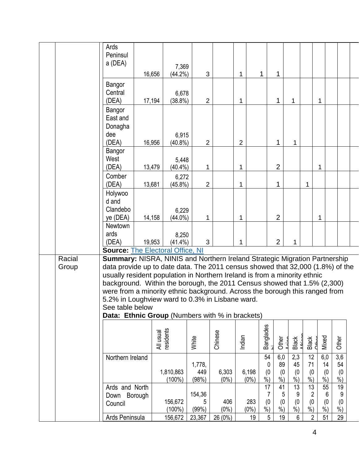|                 | Ards<br>Peninsul<br>a (DEA)                                                                                                                                                                                                                                                                                                                                                                                                                                                                                                   | 16,656                 | 7,369<br>$(44.2\%)$ | 3                      |                  | 1              | 1                                         | 1                                     |                                   |                          |            |                             |                                        |  |
|-----------------|-------------------------------------------------------------------------------------------------------------------------------------------------------------------------------------------------------------------------------------------------------------------------------------------------------------------------------------------------------------------------------------------------------------------------------------------------------------------------------------------------------------------------------|------------------------|---------------------|------------------------|------------------|----------------|-------------------------------------------|---------------------------------------|-----------------------------------|--------------------------|------------|-----------------------------|----------------------------------------|--|
|                 | Bangor<br>Central<br>(DEA)                                                                                                                                                                                                                                                                                                                                                                                                                                                                                                    | 17,194                 | 6,678<br>$(38.8\%)$ | $\overline{2}$         |                  | 1              |                                           | 1                                     | 1                                 |                          | 1          |                             |                                        |  |
|                 | Bangor<br>East and<br>Donagha<br>dee<br>(DEA)                                                                                                                                                                                                                                                                                                                                                                                                                                                                                 | 16,956                 | 6,915<br>$(40.8\%)$ | $\overline{2}$         |                  | $\overline{2}$ |                                           | 1                                     | 1                                 |                          |            |                             |                                        |  |
|                 | Bangor<br>West<br>(DEA)                                                                                                                                                                                                                                                                                                                                                                                                                                                                                                       | 13,479                 | 5,448<br>$(40.4\%)$ | 1                      |                  | 1              |                                           | $\overline{2}$                        |                                   |                          | 1          |                             |                                        |  |
|                 | Comber<br>(DEA)                                                                                                                                                                                                                                                                                                                                                                                                                                                                                                               | 13,681                 | 6,272<br>$(45.8\%)$ | $\overline{2}$         |                  | 1              |                                           | 1                                     |                                   | 1                        |            |                             |                                        |  |
|                 | Holywoo<br>d and<br>Clandebo<br>ye (DEA)                                                                                                                                                                                                                                                                                                                                                                                                                                                                                      | 14,158                 | 6,229<br>$(44.0\%)$ | 1                      |                  | 1              |                                           | $\overline{2}$                        |                                   |                          | 1          |                             |                                        |  |
|                 | Newtown<br>ards<br>(DEA)                                                                                                                                                                                                                                                                                                                                                                                                                                                                                                      | 19,953                 | 8,250<br>$(41.4\%)$ | 3                      |                  | 1              |                                           | $\overline{2}$                        | 1                                 |                          |            |                             |                                        |  |
|                 | <b>Source: The Electoral Office, NI</b>                                                                                                                                                                                                                                                                                                                                                                                                                                                                                       |                        |                     |                        |                  |                |                                           |                                       |                                   |                          |            |                             |                                        |  |
| Racial<br>Group | Summary: NISRA, NINIS and Northern Ireland Strategic Migration Partnership<br>data provide up to date data. The 2011 census showed that 32,000 (1.8%) of the<br>usually resident population in Northern Ireland is from a minority ethnic<br>background. Within the borough, the 2011 Census showed that 1.5% (2,300)<br>were from a minority ethnic background. Across the borough this ranged from<br>5.2% in Loughview ward to 0.3% in Lisbane ward.<br>See table below<br>Data: Ethnic Group (Numbers with % in brackets) |                        |                     |                        |                  |                |                                           |                                       |                                   |                          |            |                             |                                        |  |
|                 |                                                                                                                                                                                                                                                                                                                                                                                                                                                                                                                               | All usual<br>residents |                     | White                  | Chinese          | Indian         | <b>Banglades</b>                          | <b>Other</b>                          | Black                             | Black                    | Mixed<br>É |                             | <b>Other</b>                           |  |
|                 | Northern Ireland                                                                                                                                                                                                                                                                                                                                                                                                                                                                                                              | 1,810,863              | $(100\%)$           | 1,778,<br>449<br>(98%) | 6,303<br>$(0\%)$ | 6,198          | 54<br>$%$ )<br>$(0\%)$                    | 6,0<br>89<br>0<br>(0)<br>(0)<br>$%$ ) | 2,3<br>45<br>(0)<br>$\frac{9}{6}$ | 12<br>71<br>(0)<br>$%$ ) |            | $6,0$<br>14<br>(0)<br>$%$ ) | $\overline{3,6}$<br>54<br>(0)<br>$%$ ) |  |
|                 | Ards and North<br>Borough<br>Down<br>Council                                                                                                                                                                                                                                                                                                                                                                                                                                                                                  |                        | 156,672<br>(100%)   | 154,36<br>5<br>(99%)   | 406<br>$(0\%)$   |                | 17<br>283<br>$\sqrt[6]{\cdot}$<br>$(0\%)$ | 41<br>7<br>5<br>(0)<br>(0)<br>$%$ )   | 13<br>9<br>(0)<br>$\frac{0}{0}$   | 13<br>2<br>(0)<br>$%$ )  |            | 55<br>6<br>(0)<br>$%$ )     | 19<br>9<br>(0)<br>%                    |  |
|                 | Ards Peninsula                                                                                                                                                                                                                                                                                                                                                                                                                                                                                                                |                        | 156,672             | 23,367                 | 26 (0%)          |                | 19                                        | 5<br>19                               | 6                                 | $\overline{2}$           |            | 51                          | 29                                     |  |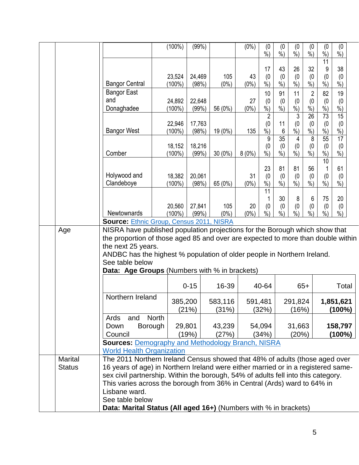|                |                                                                                                                                                                        | $(100\%)$                                                        | (99%)           |                  | $(0\%)$ | (0)<br>$%$ )                     | (0)<br>$%$ ) | (0)<br>$%$ )     | (0)<br>$\%$ )         | (0)<br>$%$ )         | (0)<br>$%$ )           |  |
|----------------|------------------------------------------------------------------------------------------------------------------------------------------------------------------------|------------------------------------------------------------------|-----------------|------------------|---------|----------------------------------|--------------|------------------|-----------------------|----------------------|------------------------|--|
|                |                                                                                                                                                                        |                                                                  |                 |                  |         | 17                               | 43           | 26               | 32                    | $\overline{11}$<br>9 | 38                     |  |
|                |                                                                                                                                                                        | 23,524                                                           | 24,469          | 105              | 43      | (0)                              | (0)          | (0)              | (0)                   | (0)                  | (0)                    |  |
|                | <b>Bangor Central</b>                                                                                                                                                  | $(100\%)$                                                        | (98%)           | $(0\%)$          | $(0\%)$ | $%$ )                            | $%$ )        | $%$ )            | $%$ )                 | $%$ )                | $%$ )                  |  |
|                | <b>Bangor East</b><br>and                                                                                                                                              | 24,892                                                           | 22,648          |                  | 27      | 10<br>(0)                        | 91<br>(0)    | 11<br>(0)        | $\overline{2}$<br>(0) | 82<br>(0)            | 19<br>(0)              |  |
|                | Donaghadee                                                                                                                                                             | $(100\%)$                                                        | (99% )          | 56 (0%)          | $(0\%)$ | $%$ )                            | $%$ )        | $%$ )            | $%$ )                 | $%$ )                | $%$ )                  |  |
|                |                                                                                                                                                                        | 22,946                                                           |                 |                  |         | $\overline{2}$                   | 11           | 3                | $\overline{26}$       | 73                   | 15                     |  |
|                | <b>Bangor West</b>                                                                                                                                                     | $(100\%)$                                                        | 17,763<br>(98%) | 19 (0%)          | 135     | (0)<br>$%$ )                     | 6            | (0)<br>$%$ )     | (0)<br>$%$ )          | (0)<br>$%$ )         | (0)<br>$\frac{0}{0}$   |  |
|                |                                                                                                                                                                        |                                                                  |                 |                  |         | 9                                | 35           | 4                | 8                     | 55                   | $\overline{17}$        |  |
|                | Comber                                                                                                                                                                 | 18,152<br>$(100\%)$                                              | 18,216<br>(99%) | $30(0\%)$        | 8(0%)   | (0)<br>$\overline{\frac{9}{6}})$ | (0)<br>$%$ ) | (0)<br>$%$ )     | (0)<br>$\%$ )         | (0)<br>$\frac{9}{6}$ | (0)<br>$%$ )           |  |
|                |                                                                                                                                                                        |                                                                  |                 |                  |         |                                  |              |                  |                       | 10                   |                        |  |
|                | Holywood and                                                                                                                                                           | 18,382                                                           | 20,061          |                  | 31      | 23<br>(0)                        | 81<br>(0)    | 81<br>(0)        | 56<br>(0)             | (0)                  | 61<br>(0)              |  |
|                | Clandeboye                                                                                                                                                             | $(100\%)$                                                        | (98%)           | 65 (0%)          | $(0\%)$ | $%$ )                            | $%$ )        | $%$ )            | $%$ )                 | $\%$ )               | $%$ )                  |  |
|                |                                                                                                                                                                        |                                                                  |                 |                  |         | 11                               | 30           | 8                | 6                     | 75                   | 20                     |  |
|                |                                                                                                                                                                        | 20,560                                                           | 27,841          | 105              | 20      | (0)                              | (0)          | (0)              | (0)                   | (0)                  | (0)                    |  |
|                | <b>Newtownards</b><br><b>Source: Ethnic Group, Census 2011, NISRA</b>                                                                                                  | $(100\%)$                                                        | (99%)           | $(0\%)$          | $(0\%)$ | $%$ )                            | $%$ )        | $%$ )            | $%$ )                 | $%$ )                | $%$ )                  |  |
| Age            | NISRA have published population projections for the Borough which show that                                                                                            |                                                                  |                 |                  |         |                                  |              |                  |                       |                      |                        |  |
|                | the proportion of those aged 85 and over are expected to more than double within                                                                                       |                                                                  |                 |                  |         |                                  |              |                  |                       |                      |                        |  |
|                | the next 25 years.<br>ANDBC has the highest % population of older people in Northern Ireland.                                                                          |                                                                  |                 |                  |         |                                  |              |                  |                       |                      |                        |  |
|                | See table below                                                                                                                                                        |                                                                  |                 |                  |         |                                  |              |                  |                       |                      |                        |  |
|                | Data: Age Groups (Numbers with % in brackets)                                                                                                                          |                                                                  |                 |                  |         |                                  |              |                  |                       |                      |                        |  |
|                |                                                                                                                                                                        |                                                                  | $0 - 15$        | 16-39            |         | 40-64                            |              |                  | $65+$                 |                      | Total                  |  |
|                | Northern Ireland                                                                                                                                                       |                                                                  |                 |                  |         |                                  |              |                  |                       |                      |                        |  |
|                |                                                                                                                                                                        | 385,200                                                          | (21%)           | 583,116<br>(31%) |         | 591,481<br>(32%)                 |              | 291,824<br>(16%) |                       |                      | 1,851,621<br>$(100\%)$ |  |
|                | <b>North</b><br>Ards<br>and                                                                                                                                            |                                                                  |                 |                  |         |                                  |              |                  |                       |                      |                        |  |
|                | Borough<br>Down                                                                                                                                                        |                                                                  | 29,801          | 43,239           |         | 54,094                           |              | 31,663           |                       |                      | 158,797                |  |
|                | Council<br><b>Sources: Demography and Methodology Branch, NISRA</b>                                                                                                    |                                                                  | (19%)           | (27%)            |         | (34%)                            |              | (20%)            |                       |                      | (100%)                 |  |
|                | <b>World Health Organization</b>                                                                                                                                       |                                                                  |                 |                  |         |                                  |              |                  |                       |                      |                        |  |
| <b>Marital</b> | The 2011 Northern Ireland Census showed that 48% of adults (those aged over                                                                                            |                                                                  |                 |                  |         |                                  |              |                  |                       |                      |                        |  |
| <b>Status</b>  | 16 years of age) in Northern Ireland were either married or in a registered same-<br>sex civil partnership. Within the borough, 54% of adults fell into this category. |                                                                  |                 |                  |         |                                  |              |                  |                       |                      |                        |  |
|                | This varies across the borough from 36% in Central (Ards) ward to 64% in                                                                                               |                                                                  |                 |                  |         |                                  |              |                  |                       |                      |                        |  |
|                | Lisbane ward.                                                                                                                                                          |                                                                  |                 |                  |         |                                  |              |                  |                       |                      |                        |  |
|                | See table below                                                                                                                                                        |                                                                  |                 |                  |         |                                  |              |                  |                       |                      |                        |  |
|                |                                                                                                                                                                        | Data: Marital Status (All aged 16+) (Numbers with % in brackets) |                 |                  |         |                                  |              |                  |                       |                      |                        |  |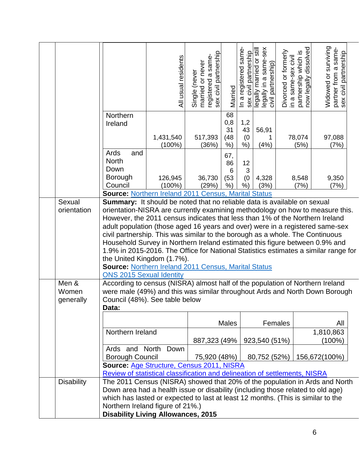|                                |                                                                                                                                                                                                                                                                                                                                                                                                                                                                                                                                                                                                                                                                                                                                                                                                           | All usual residents    | registered a same-<br>sex civil partnership<br>Single (never<br>married or never | Married                          | In a registered same<br>sex civil partnership | legally married or still<br>legally in a same-sex<br>civil partnership) | Divorced or formerly<br>in a same-sex civil | partnership which is<br>now legally dissolved | Widowed or surviving<br>partner from a same-<br>sex civil partnership |  |
|--------------------------------|-----------------------------------------------------------------------------------------------------------------------------------------------------------------------------------------------------------------------------------------------------------------------------------------------------------------------------------------------------------------------------------------------------------------------------------------------------------------------------------------------------------------------------------------------------------------------------------------------------------------------------------------------------------------------------------------------------------------------------------------------------------------------------------------------------------|------------------------|----------------------------------------------------------------------------------|----------------------------------|-----------------------------------------------|-------------------------------------------------------------------------|---------------------------------------------|-----------------------------------------------|-----------------------------------------------------------------------|--|
|                                | Northern<br>Ireland                                                                                                                                                                                                                                                                                                                                                                                                                                                                                                                                                                                                                                                                                                                                                                                       | 1,431,540<br>$(100\%)$ | 517,393<br>(36%)                                                                 | 68<br>0,8<br>31<br>(48)<br>$%$ ) | 1,2<br>43<br>(0)<br>$%$ )                     | 56,91<br>(4% )                                                          |                                             | 78,074<br>(5%)                                | 97,088<br>(7%)                                                        |  |
|                                | Ards<br>and<br><b>North</b><br>Down<br><b>Borough</b><br>Council                                                                                                                                                                                                                                                                                                                                                                                                                                                                                                                                                                                                                                                                                                                                          | 126,945<br>$(100\%)$   | 36,730<br>(29%)                                                                  | 67,<br>86<br>6<br>(53)<br>$%$ )  | 12<br>3<br>(0)<br>$%$ )                       | 4,328<br>(3%)                                                           |                                             | 8,548<br>(7%)                                 | 9,350<br>(7%)                                                         |  |
|                                | <b>Source: Northern Ireland 2011 Census, Marital Status</b>                                                                                                                                                                                                                                                                                                                                                                                                                                                                                                                                                                                                                                                                                                                                               |                        |                                                                                  |                                  |                                               |                                                                         |                                             |                                               |                                                                       |  |
| Sexual<br>orientation<br>Men & | <b>Summary:</b> It should be noted that no reliable data is available on sexual<br>orientation-NISRA are currently examining methodology on how to measure this.<br>However, the 2011 census indicates that less than 1% of the Northern Ireland<br>adult population (those aged 16 years and over) were in a registered same-sex<br>civil partnership. This was similar to the borough as a whole. The Continuous<br>Household Survey in Northern Ireland estimated this figure between 0.9% and<br>1.9% in 2015-2016. The Office for National Statistics estimates a similar range for<br>the United Kingdom (1.7%).<br><b>Source: Northern Ireland 2011 Census, Marital Status</b><br><b>ONS 2015 Sexual Identity</b><br>According to census (NISRA) almost half of the population of Northern Ireland |                        |                                                                                  |                                  |                                               |                                                                         |                                             |                                               |                                                                       |  |
| Women<br>generally             | were male (49%) and this was similar throughout Ards and North Down Borough<br>Council (48%). See table below<br>Data:                                                                                                                                                                                                                                                                                                                                                                                                                                                                                                                                                                                                                                                                                    |                        |                                                                                  |                                  |                                               |                                                                         |                                             |                                               |                                                                       |  |
|                                |                                                                                                                                                                                                                                                                                                                                                                                                                                                                                                                                                                                                                                                                                                                                                                                                           |                        |                                                                                  | <b>Males</b>                     |                                               |                                                                         | Females                                     |                                               | All                                                                   |  |
|                                | Northern Ireland                                                                                                                                                                                                                                                                                                                                                                                                                                                                                                                                                                                                                                                                                                                                                                                          |                        | 887,323 (49%)                                                                    |                                  |                                               | 923,540 (51%)                                                           |                                             |                                               | 1,810,863<br>(100%)                                                   |  |
|                                | Ards and North<br><b>Borough Council</b>                                                                                                                                                                                                                                                                                                                                                                                                                                                                                                                                                                                                                                                                                                                                                                  | Down                   | 75,920 (48%)                                                                     |                                  |                                               | 80,752 (52%)                                                            |                                             |                                               | 156,672(100%)                                                         |  |
|                                | Source: Age Structure, Census 2011, NISRA                                                                                                                                                                                                                                                                                                                                                                                                                                                                                                                                                                                                                                                                                                                                                                 |                        |                                                                                  |                                  |                                               |                                                                         |                                             |                                               |                                                                       |  |
|                                | Review of statistical classification and delineation of settlements, NISRA                                                                                                                                                                                                                                                                                                                                                                                                                                                                                                                                                                                                                                                                                                                                |                        |                                                                                  |                                  |                                               |                                                                         |                                             |                                               |                                                                       |  |
| <b>Disability</b>              | The 2011 Census (NISRA) showed that 20% of the population in Ards and North<br>Down area had a health issue or disability (including those related to old age)<br>which has lasted or expected to last at least 12 months. (This is similar to the<br>Northern Ireland figure of 21%.)<br><b>Disability Living Allowances, 2015</b>                                                                                                                                                                                                                                                                                                                                                                                                                                                                       |                        |                                                                                  |                                  |                                               |                                                                         |                                             |                                               |                                                                       |  |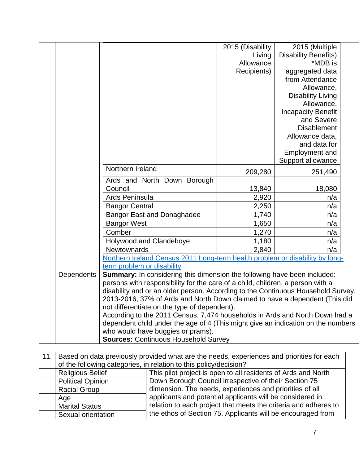|            |                                                                                  | 2015 (Disability                             | 2015 (Multiple              |  |  |  |  |  |
|------------|----------------------------------------------------------------------------------|----------------------------------------------|-----------------------------|--|--|--|--|--|
|            |                                                                                  | Living                                       | <b>Disability Benefits)</b> |  |  |  |  |  |
|            |                                                                                  | Allowance                                    | *MDB is                     |  |  |  |  |  |
|            |                                                                                  | Recipients)                                  | aggregated data             |  |  |  |  |  |
|            |                                                                                  |                                              | from Attendance             |  |  |  |  |  |
|            |                                                                                  |                                              | Allowance,                  |  |  |  |  |  |
|            |                                                                                  |                                              | <b>Disability Living</b>    |  |  |  |  |  |
|            |                                                                                  |                                              | Allowance,                  |  |  |  |  |  |
|            |                                                                                  |                                              | <b>Incapacity Benefit</b>   |  |  |  |  |  |
|            |                                                                                  |                                              | and Severe                  |  |  |  |  |  |
|            |                                                                                  |                                              | <b>Disablement</b>          |  |  |  |  |  |
|            |                                                                                  |                                              | Allowance data,             |  |  |  |  |  |
|            |                                                                                  |                                              | and data for                |  |  |  |  |  |
|            |                                                                                  |                                              | Employment and              |  |  |  |  |  |
|            |                                                                                  |                                              | Support allowance           |  |  |  |  |  |
|            | Northern Ireland                                                                 | 209,280                                      | 251,490                     |  |  |  |  |  |
|            | Ards and North Down Borough                                                      |                                              |                             |  |  |  |  |  |
|            | Council                                                                          | 13,840                                       | 18,080                      |  |  |  |  |  |
|            | Ards Peninsula                                                                   | 2,920                                        | n/a                         |  |  |  |  |  |
|            | <b>Bangor Central</b>                                                            | 2,250                                        | n/a                         |  |  |  |  |  |
|            | <b>Bangor East and Donaghadee</b>                                                | 1,740                                        | n/a                         |  |  |  |  |  |
|            | <b>Bangor West</b>                                                               | 1,650                                        | n/a                         |  |  |  |  |  |
|            | Comber                                                                           | 1,270                                        | n/a                         |  |  |  |  |  |
|            | Holywood and Clandeboye                                                          | 1,180                                        | n/a                         |  |  |  |  |  |
|            | Newtownards                                                                      | 2,840                                        | n/a                         |  |  |  |  |  |
|            | Northern Ireland Census 2011 Long-term health problem or disability by long-     |                                              |                             |  |  |  |  |  |
|            | term problem or disability                                                       |                                              |                             |  |  |  |  |  |
| Dependents | Summary: In considering this dimension the following have been included:         |                                              |                             |  |  |  |  |  |
|            | persons with responsibility for the care of a child, children, a person with a   |                                              |                             |  |  |  |  |  |
|            | disability and or an older person. According to the Continuous Household Survey, |                                              |                             |  |  |  |  |  |
|            | 2013-2016, 37% of Ards and North Down claimed to have a dependent (This did      |                                              |                             |  |  |  |  |  |
|            |                                                                                  | not differentiate on the type of dependent). |                             |  |  |  |  |  |
|            | According to the 2011 Census, 7,474 households in Ards and North Down had a      |                                              |                             |  |  |  |  |  |
|            | dependent child under the age of 4 (This might give an indication on the numbers |                                              |                             |  |  |  |  |  |
|            |                                                                                  | who would have buggies or prams).            |                             |  |  |  |  |  |
|            | <b>Sources: Continuous Household Survey</b>                                      |                                              |                             |  |  |  |  |  |

| 11. |                          | Based on data previously provided what are the needs, experiences and priorities for each |
|-----|--------------------------|-------------------------------------------------------------------------------------------|
|     |                          | of the following categories, in relation to this policy/decision?                         |
|     | <b>Religious Belief</b>  | This pilot project is open to all residents of Ards and North                             |
|     | <b>Political Opinion</b> | Down Borough Council irrespective of their Section 75                                     |
|     | <b>Racial Group</b>      | dimension. The needs, experiences and priorities of all                                   |
|     | Age                      | applicants and potential applicants will be considered in                                 |
|     | <b>Marital Status</b>    | relation to each project that meets the criteria and adheres to                           |
|     | Sexual orientation       | the ethos of Section 75. Applicants will be encouraged from                               |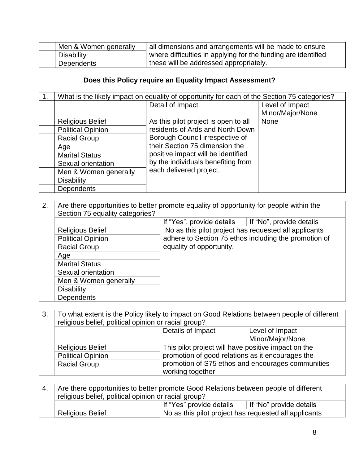|            | Men & Women generally | all dimensions and arrangements will be made to ensure        |  |  |  |  |
|------------|-----------------------|---------------------------------------------------------------|--|--|--|--|
| Disability |                       | where difficulties in applying for the funding are identified |  |  |  |  |
| Dependents |                       | these will be addressed appropriately.                        |  |  |  |  |

### **Does this Policy require an Equality Impact Assessment?**

| 1. |                          | What is the likely impact on equality of opportunity for each of the Section 75 categories? |                  |
|----|--------------------------|---------------------------------------------------------------------------------------------|------------------|
|    |                          | Detail of Impact                                                                            | Level of Impact  |
|    |                          |                                                                                             | Minor/Major/None |
|    | <b>Religious Belief</b>  | As this pilot project is open to all                                                        | None             |
|    | <b>Political Opinion</b> | residents of Ards and North Down                                                            |                  |
|    | <b>Racial Group</b>      | Borough Council irrespective of                                                             |                  |
|    | Age                      | their Section 75 dimension the                                                              |                  |
|    | <b>Marital Status</b>    | positive impact will be identified                                                          |                  |
|    | Sexual orientation       | by the individuals benefiting from                                                          |                  |
|    | Men & Women generally    | each delivered project.                                                                     |                  |
|    | <b>Disability</b>        |                                                                                             |                  |
|    | <b>Dependents</b>        |                                                                                             |                  |

### 2. Are there opportunities to better promote equality of opportunity for people within the Section 75 equality categories?  $\overline{\phantom{a}}$  If "Ves", provide details  $\overline{\phantom{a}}$  If "No", provide details

|                          | $\overline{11}$ $\overline{15}$ , provide details $\overline{11}$ $\overline{11}$ $\overline{11}$ $\overline{11}$ $\overline{11}$ $\overline{11}$ $\overline{11}$ $\overline{11}$ $\overline{11}$ |
|--------------------------|---------------------------------------------------------------------------------------------------------------------------------------------------------------------------------------------------|
| <b>Religious Belief</b>  | No as this pilot project has requested all applicants                                                                                                                                             |
| <b>Political Opinion</b> | adhere to Section 75 ethos including the promotion of                                                                                                                                             |
| <b>Racial Group</b>      | equality of opportunity.                                                                                                                                                                          |
| Age                      |                                                                                                                                                                                                   |
| <b>Marital Status</b>    |                                                                                                                                                                                                   |
| Sexual orientation       |                                                                                                                                                                                                   |
| Men & Women generally    |                                                                                                                                                                                                   |
| <b>Disability</b>        |                                                                                                                                                                                                   |
| <b>Dependents</b>        |                                                                                                                                                                                                   |

3. To what extent is the Policy likely to impact on Good Relations between people of different religious belief, political opinion or racial group?

|                          | Details of Impact | Level of Impact                                     |  |
|--------------------------|-------------------|-----------------------------------------------------|--|
|                          |                   | Minor/Major/None                                    |  |
| <b>Religious Belief</b>  |                   | This pilot project will have positive impact on the |  |
| <b>Political Opinion</b> |                   | promotion of good relations as it encourages the    |  |
| <b>Racial Group</b>      |                   | promotion of S75 ethos and encourages communities   |  |
|                          | working together  |                                                     |  |

|  | Are there opportunities to better promote Good Relations between people of different |                                                       |                         |
|--|--------------------------------------------------------------------------------------|-------------------------------------------------------|-------------------------|
|  | religious belief, political opinion or racial group?                                 |                                                       |                         |
|  |                                                                                      | <sup>∣</sup> If "Yes" provide details                 | If "No" provide details |
|  | <b>Religious Belief</b>                                                              | No as this pilot project has requested all applicants |                         |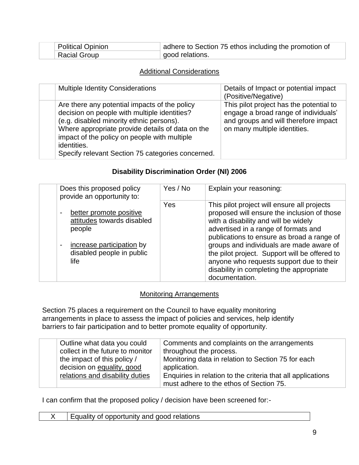|  | <b>Political Opinion</b> | adhere to Section 75 ethos including the promotion of |  |
|--|--------------------------|-------------------------------------------------------|--|
|  | Racial Group             | good relations.                                       |  |

#### Additional Considerations

| <b>Multiple Identity Considerations</b>                                                                                                                                                                                                                                                                           | Details of Impact or potential impact<br>(Positive/Negative)                                                                                            |
|-------------------------------------------------------------------------------------------------------------------------------------------------------------------------------------------------------------------------------------------------------------------------------------------------------------------|---------------------------------------------------------------------------------------------------------------------------------------------------------|
| Are there any potential impacts of the policy<br>decision on people with multiple identities?<br>(e.g. disabled minority ethnic persons).<br>Where appropriate provide details of data on the<br>impact of the policy on people with multiple<br>identities.<br>Specify relevant Section 75 categories concerned. | This pilot project has the potential to<br>engage a broad range of individuals'<br>and groups and will therefore impact<br>on many multiple identities. |

#### **Disability Discrimination Order (NI) 2006**

| Does this proposed policy<br>provide an opportunity to:                                                                                             | Yes / No | Explain your reasoning:                                                                                                                                                                                                                                                                                                                                                                                                         |
|-----------------------------------------------------------------------------------------------------------------------------------------------------|----------|---------------------------------------------------------------------------------------------------------------------------------------------------------------------------------------------------------------------------------------------------------------------------------------------------------------------------------------------------------------------------------------------------------------------------------|
| better promote positive<br>attitudes towards disabled<br>people<br>increase participation by<br>$\blacksquare$<br>disabled people in public<br>life | Yes      | This pilot project will ensure all projects<br>proposed will ensure the inclusion of those<br>with a disability and will be widely<br>advertised in a range of formats and<br>publications to ensure as broad a range of<br>groups and individuals are made aware of<br>the pilot project. Support will be offered to<br>anyone who requests support due to their<br>disability in completing the appropriate<br>documentation. |

#### Monitoring Arrangements

Section 75 places a requirement on the Council to have equality monitoring arrangements in place to assess the impact of policies and services, help identify barriers to fair participation and to better promote equality of opportunity.

| Outline what data you could      | Comments and complaints on the arrangements                 |
|----------------------------------|-------------------------------------------------------------|
| collect in the future to monitor | throughout the process.                                     |
| the impact of this policy /      | Monitoring data in relation to Section 75 for each          |
| decision on equality, good       | application.                                                |
| relations and disability duties  | Enquiries in relation to the criteria that all applications |
|                                  | must adhere to the ethos of Section 75.                     |

I can confirm that the proposed policy / decision have been screened for:-

 $X$  | Equality of opportunity and good relations